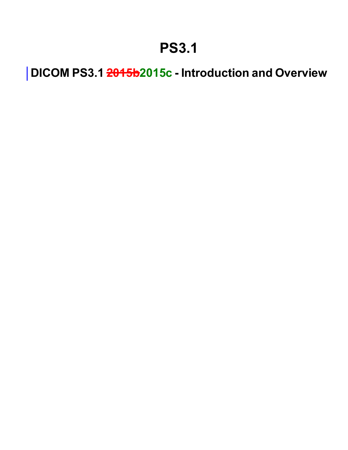### **PS3.1**

**DICOM PS3.1 2015b2015c - Introduction and Overview**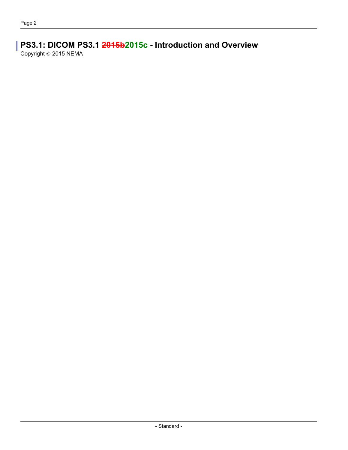### **PS3.1: DICOM PS3.1 2015b2015c - Introduction and Overview**

Copyright © 2015 NEMA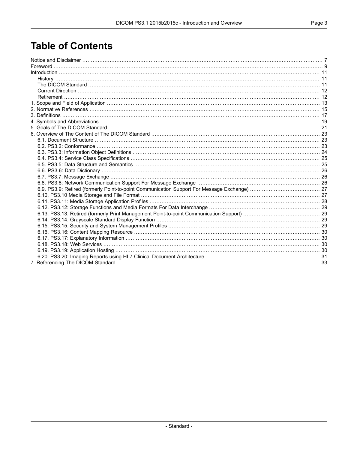### **Table of Contents**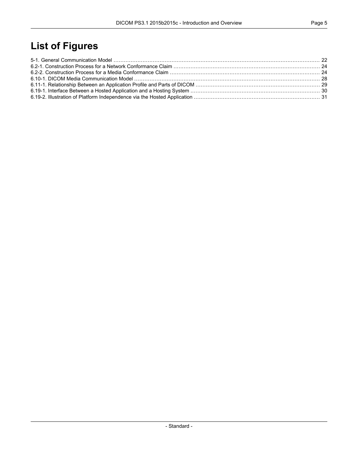### **List of Figures**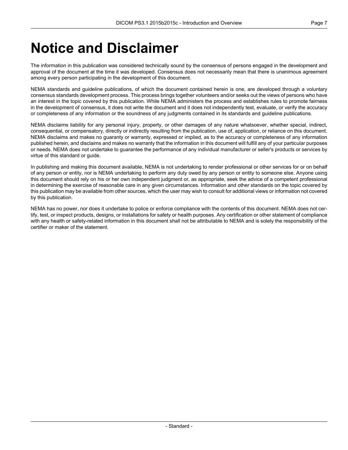### <span id="page-6-0"></span>**Notice and Disclaimer**

The information in this publication was considered technically sound by the consensus of persons engaged in the development and approval of the document at the time it was developed. Consensus does not necessarily mean that there is unanimous agreement among every person participating in the development of this document.

NEMA standards and guideline publications, of which the document contained herein is one, are developed through a voluntary consensus standards development process. This process brings together volunteers and/or seeks out the views of persons who have an interest in the topic covered by this publication. While NEMA administers the process and establishes rules to promote fairness in the development of consensus, it does not write the document and it does not independently test, evaluate, or verify the accuracy or completeness of any information or the soundness of any judgments contained in its standards and guideline publications.

NEMA disclaims liability for any personal injury, property, or other damages of any nature whatsoever, whether special, indirect, consequential, or compensatory, directly or indirectly resulting from the publication, use of, application, or reliance on this document. NEMA disclaims and makes no guaranty or warranty, expressed or implied, as to the accuracy or completeness of any information published herein, and disclaims and makes no warranty that the information in this document will fulfill any of your particular purposes or needs. NEMA does not undertake to guarantee the performance of any individual manufacturer or seller's products or services by virtue of this standard or guide.

In publishing and making this document available, NEMA is not undertaking to render professional or other services for or on behalf of any person or entity, nor is NEMA undertaking to perform any duty owed by any person or entity to someone else. Anyone using this document should rely on his or her own independent judgment or, as appropriate, seek the advice of a competent professional in determining the exercise of reasonable care in any given circumstances. Information and other standards on the topic covered by this publication may be available from other sources, which the user may wish to consult for additional views or information not covered by this publication.

NEMA has no power, nor does it undertake to police or enforce compliance with the contents of this document. NEMA does not certify, test, or inspect products, designs, or installations for safety or health purposes. Any certification or other statement of compliance with any health or safety-related information in this document shall not be attributable to NEMA and is solely the responsibility of the certifier or maker of the statement.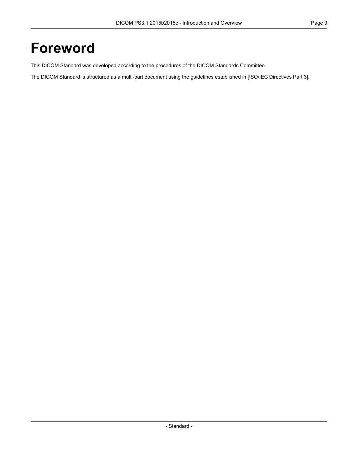### <span id="page-8-0"></span>**Foreword**

This DICOM Standard was developed according to the procedures of the DICOM Standards Committee.

The DICOM Standard is structured as a multi-part document using the guidelines established in [ISO/IEC [Directives](#page-14-1) Part 3].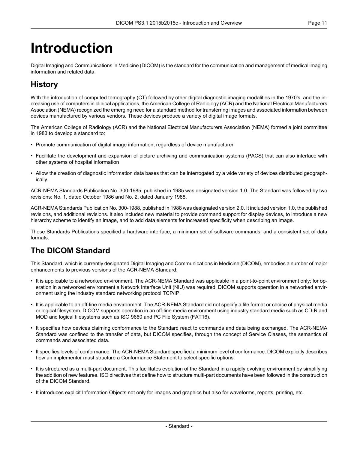# <span id="page-10-0"></span>**Introduction**

<span id="page-10-1"></span>Digital Imaging and Communications in Medicine (DICOM) is the standard for the communication and management of medical imaging information and related data.

### **History**

With the introduction of computed tomography (CT) followed by other digital diagnostic imaging modalities in the 1970's, and the increasing use of computers in clinical applications, the American College of Radiology (ACR) and the National Electrical Manufacturers Association (NEMA) recognized the emerging need for a standard method for transferring images and associated information between devices manufactured by various vendors. These devices produce a variety of digital image formats.

The American College of Radiology (ACR) and the National Electrical Manufacturers Association (NEMA) formed a joint committee in 1983 to develop a standard to:

- Promote communication of digital image information, regardless of device manufacturer
- Facilitate the development and expansion of picture archiving and communication systems (PACS) that can also interface with other systems of hospital information
- Allow the creation of diagnostic information data bases that can be interrogated by a wide variety of devices distributed geographically.

ACR-NEMA Standards Publication No. 300-1985, published in 1985 was designated version 1.0. The Standard was followed by two revisions: No. 1, dated October 1986 and No. 2, dated January 1988.

<span id="page-10-2"></span>ACR-NEMA Standards Publication No. 300-1988, published in 1988 was designated version 2.0. It included version 1.0, the published revisions, and additional revisions. It also included new material to provide command support for display devices, to introduce a new hierarchy scheme to identify an image, and to add data elements for increased specificity when describing an image.

These Standards Publications specified a hardware interface, a minimum set of software commands, and a consistent set of data formats.

#### **The DICOM Standard**

This Standard, which is currently designated Digital Imaging and Communications in Medicine (DICOM), embodies a number of major enhancements to previous versions of the ACR-NEMA Standard:

- It is applicable to a networked environment. The ACR-NEMA Standard was applicable in a point-to-point environment only; for operation in a networked environment a Network Interface Unit (NIU) was required. DICOM supports operation in a networked environment using the industry standard networking protocol TCP/IP.
- It is applicable to an off-line media environment. The ACR-NEMA Standard did not specify a file format or choice of physical media or logical filesystem. DICOM supports operation in an off-line media environment using industry standard media such as CD-R and MOD and logical filesystems such as ISO 9660 and PC File System (FAT16).
- It specifies how devices claiming conformance to the Standard react to commands and data being exchanged. The ACR-NEMA Standard was confined to the transfer of data, but DICOM specifies, through the concept of Service Classes, the semantics of commands and associated data.
- It specifies levels of conformance. The ACR-NEMA Standard specified a minimum level of conformance. DICOM explicitly describes how an implementor must structure a Conformance Statement to select specific options.
- It is structured as a multi-part document. This facilitates evolution of the Standard in a rapidly evolving environment by simplifying the addition of new features. ISO directives that define how to structure multi-part documents have been followed in the construction of the DICOM Standard.
- It introduces explicit Information Objects not only for images and graphics but also for waveforms, reports, printing, etc.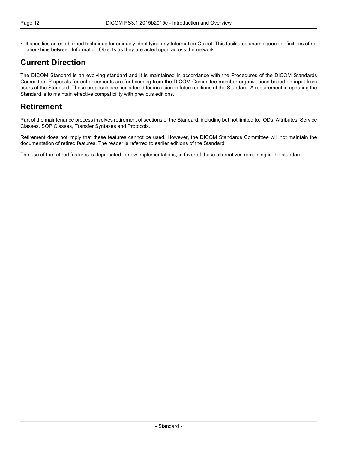• It specifies an established technique for uniquely identifying any Information Object. This facilitates unambiguous definitions of relationships between Information Objects as they are acted upon across the network.

### <span id="page-11-0"></span>**Current Direction**

<span id="page-11-1"></span>The DICOM Standard is an evolving standard and it is maintained in accordance with the Procedures of the DICOM Standards Committee. Proposals for enhancements are forthcoming from the DICOM Committee member organizations based on input from users of the Standard. These proposals are considered for inclusion in future editions of the Standard. A requirement in updating the Standard is to maintain effective compatibility with previous editions.

### **Retirement**

Part of the maintenance process involves retirement of sections of the Standard, including but not limited to, IODs, Attributes, Service Classes, SOP Classes, Transfer Syntaxes and Protocols.

Retirement does not imply that these features cannot be used. However, the DICOM Standards Committee will not maintain the documentation of retired features. The reader is referred to earlier editions of the Standard.

The use of the retired features is deprecated in new implementations, in favor of those alternatives remaining in the standard.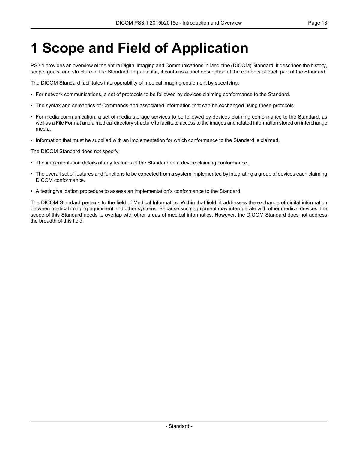# <span id="page-12-0"></span>**1 Scope and Field of Application**

PS3.1 provides an overview of the entire Digital Imaging and Communications in Medicine (DICOM) Standard. It describes the history, scope, goals, and structure of the Standard. In particular, it contains a brief description of the contents of each part of the Standard.

The DICOM Standard facilitates interoperability of medical imaging equipment by specifying:

- For network communications, a set of protocols to be followed by devices claiming conformance to the Standard.
- The syntax and semantics of Commands and associated information that can be exchanged using these protocols.
- For media communication, a set of media storage services to be followed by devices claiming conformance to the Standard, as well as a File Format and a medical directory structure to facilitate access to the images and related information stored on interchange media.
- Information that must be supplied with an implementation for which conformance to the Standard is claimed.

The DICOM Standard does not specify:

- The implementation details of any features of the Standard on a device claiming conformance.
- The overall set of features and functions to be expected from a system implemented by integrating a group of devices each claiming DICOM conformance.
- A testing/validation procedure to assess an implementation's conformance to the Standard.

The DICOM Standard pertains to the field of Medical Informatics. Within that field, it addresses the exchange of digital information between medical imaging equipment and other systems. Because such equipment may interoperate with other medical devices, the scope of this Standard needs to overlap with other areas of medical informatics. However, the DICOM Standard does not address the breadth of this field.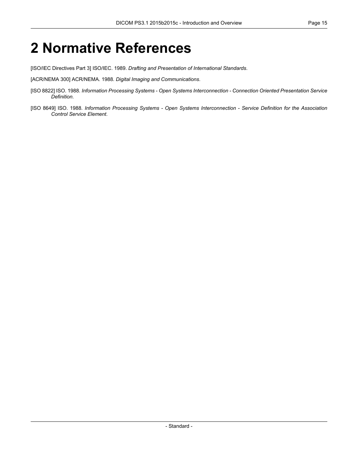### <span id="page-14-0"></span>**2 Normative References**

<span id="page-14-1"></span>[ISO/IEC Directives Part 3] ISO/IEC. 1989. *Drafting and Presentation of International Standards*.

[ACR/NEMA 300] ACR/NEMA. 1988. *Digital Imaging and Communications*.

- [ISO 8822] ISO. 1988. *Information Processing Systems - Open Systems Interconnection - Connection Oriented Presentation Service Definition*.
- [ISO 8649] ISO. 1988. *Information Processing Systems - Open Systems Interconnection - Service Definition for the Association Control Service Element*.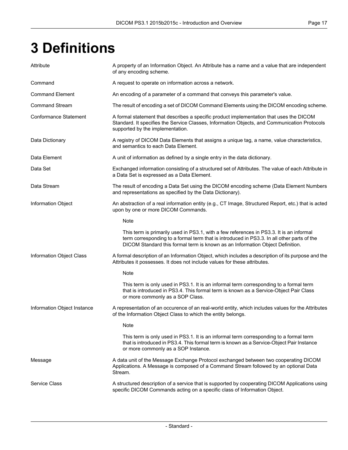# <span id="page-16-0"></span>**3 Definitions**

| Attribute                    | A property of an Information Object. An Attribute has a name and a value that are independent<br>of any encoding scheme.                                                                                                                                               |
|------------------------------|------------------------------------------------------------------------------------------------------------------------------------------------------------------------------------------------------------------------------------------------------------------------|
| Command                      | A request to operate on information across a network.                                                                                                                                                                                                                  |
| <b>Command Element</b>       | An encoding of a parameter of a command that conveys this parameter's value.                                                                                                                                                                                           |
| <b>Command Stream</b>        | The result of encoding a set of DICOM Command Elements using the DICOM encoding scheme.                                                                                                                                                                                |
| <b>Conformance Statement</b> | A formal statement that describes a specific product implementation that uses the DICOM<br>Standard. It specifies the Service Classes, Information Objects, and Communication Protocols<br>supported by the implementation.                                            |
| Data Dictionary              | A registry of DICOM Data Elements that assigns a unique tag, a name, value characteristics,<br>and semantics to each Data Element.                                                                                                                                     |
| Data Element                 | A unit of information as defined by a single entry in the data dictionary.                                                                                                                                                                                             |
| Data Set                     | Exchanged information consisting of a structured set of Attributes. The value of each Attribute in<br>a Data Set is expressed as a Data Element.                                                                                                                       |
| Data Stream                  | The result of encoding a Data Set using the DICOM encoding scheme (Data Element Numbers<br>and representations as specified by the Data Dictionary).                                                                                                                   |
| Information Object           | An abstraction of a real information entity (e.g., CT Image, Structured Report, etc.) that is acted<br>upon by one or more DICOM Commands.                                                                                                                             |
|                              | Note                                                                                                                                                                                                                                                                   |
|                              | This term is primarily used in PS3.1, with a few references in PS3.3. It is an informal<br>term corresponding to a formal term that is introduced in PS3.3. In all other parts of the<br>DICOM Standard this formal term is known as an Information Object Definition. |
| Information Object Class     | A formal description of an Information Object, which includes a description of its purpose and the<br>Attributes it possesses. It does not include values for these attributes.                                                                                        |
|                              | Note                                                                                                                                                                                                                                                                   |
|                              | This term is only used in PS3.1. It is an informal term corresponding to a formal term<br>that is introduced in PS3.4. This formal term is known as a Service-Object Pair Class<br>or more commonly as a SOP Class.                                                    |
| Information Object Instance  | A representation of an occurence of an real-world entity, which includes values for the Attributes<br>of the Information Object Class to which the entity belongs.                                                                                                     |
|                              | Note                                                                                                                                                                                                                                                                   |
|                              | This term is only used in PS3.1. It is an informal term corresponding to a formal term<br>that is introduced in PS3.4. This formal term is known as a Service-Object Pair Instance<br>or more commonly as a SOP Instance.                                              |
| Message                      | A data unit of the Message Exchange Protocol exchanged between two cooperating DICOM<br>Applications. A Message is composed of a Command Stream followed by an optional Data<br>Stream.                                                                                |
| <b>Service Class</b>         | A structured description of a service that is supported by cooperating DICOM Applications using<br>specific DICOM Commands acting on a specific class of Information Object.                                                                                           |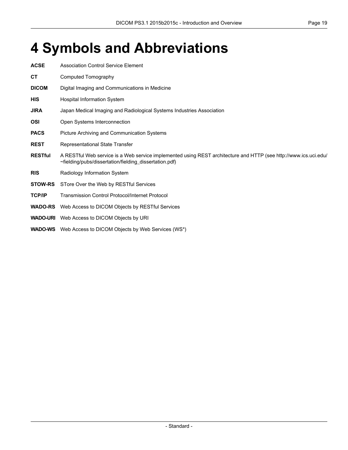# <span id="page-18-0"></span>**4 Symbols and Abbreviations**

| <b>ACSE</b>    | <b>Association Control Service Element</b>                                                                                                                                 |
|----------------|----------------------------------------------------------------------------------------------------------------------------------------------------------------------------|
| СT             | Computed Tomography                                                                                                                                                        |
| <b>DICOM</b>   | Digital Imaging and Communications in Medicine                                                                                                                             |
| <b>HIS</b>     | <b>Hospital Information System</b>                                                                                                                                         |
| <b>JIRA</b>    | Japan Medical Imaging and Radiological Systems Industries Association                                                                                                      |
| <b>OSI</b>     | Open Systems Interconnection                                                                                                                                               |
| <b>PACS</b>    | Picture Archiving and Communication Systems                                                                                                                                |
| <b>REST</b>    | Representational State Transfer                                                                                                                                            |
| <b>RESTful</b> | A RESTful Web service is a Web service implemented using REST architecture and HTTP (see http://www.ics.uci.edu/<br>~fielding/pubs/dissertation/fielding_dissertation.pdf) |
| <b>RIS</b>     | Radiology Information System                                                                                                                                               |
| <b>STOW-RS</b> | STore Over the Web by RESTful Services                                                                                                                                     |
| <b>TCP/IP</b>  | <b>Transmission Control Protocol/Internet Protocol</b>                                                                                                                     |
| <b>WADO-RS</b> | Web Access to DICOM Objects by RESTful Services                                                                                                                            |
|                | <b>WADO-URI</b> Web Access to DICOM Objects by URI                                                                                                                         |
|                | <b>WADO-WS</b> Web Access to DICOM Objects by Web Services (WS*)                                                                                                           |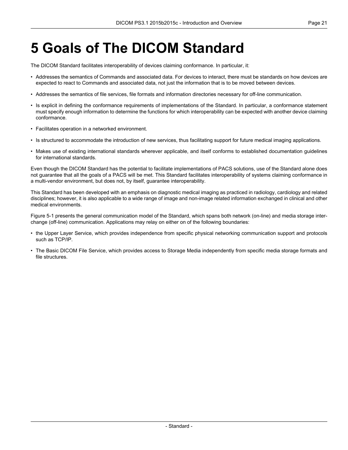## <span id="page-20-0"></span>**5 Goals of The DICOM Standard**

The DICOM Standard facilitates interoperability of devices claiming conformance. In particular, it:

- Addresses the semantics of Commands and associated data. For devices to interact, there must be standards on how devices are expected to react to Commands and associated data, not just the information that is to be moved between devices.
- Addresses the semantics of file services, file formats and information directories necessary for off-line communication.
- Is explicit in defining the conformance requirements of implementations of the Standard. In particular, a conformance statement must specify enough information to determine the functions for which interoperability can be expected with another device claiming conformance.
- Facilitates operation in a networked environment.
- Is structured to accommodate the introduction of new services, thus facilitating support for future medical imaging applications.
- Makes use of existing international standards wherever applicable, and itself conforms to established documentation guidelines for international standards.

Even though the DICOM Standard has the potential to facilitate implementations of PACS solutions, use of the Standard alone does not guarantee that all the goals of a PACS will be met. This Standard facilitates interoperability of systems claiming conformance in a multi-vendor environment, but does not, by itself, guarantee interoperability.

This Standard has been developed with an emphasis on diagnostic medical imaging as practiced in radiology, cardiology and related disciplines; however, it is also applicable to a wide range of image and non-image related information exchanged in clinical and other medical environments.

[Figure](#page-21-0) 5-1 presents the general communication model of the Standard, which spans both network (on-line) and media storage interchange (off-line) communication. Applications may relay on either on of the following boundaries:

- the Upper Layer Service, which provides independence from specific physical networking communication support and protocols such as TCP/IP.
- The Basic DICOM File Service, which provides access to Storage Media independently from specific media storage formats and file structures.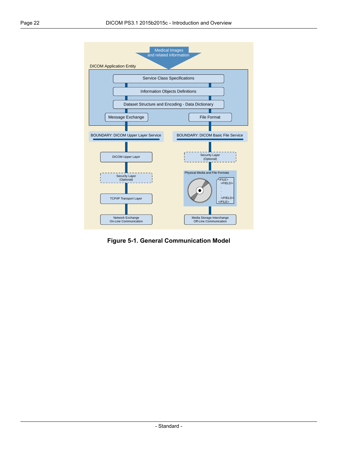<span id="page-21-0"></span>

**Figure 5-1. General Communication Model**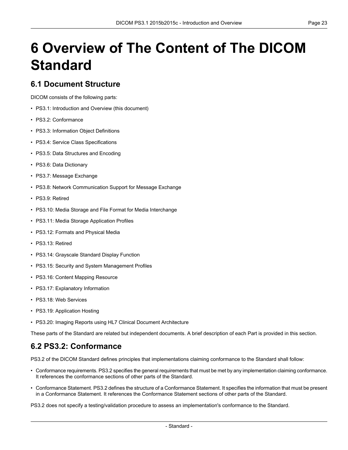# <span id="page-22-0"></span>**6 Overview of The Content of The DICOM Standard**

#### <span id="page-22-1"></span>**6.1 Document Structure**

DICOM consists of the following parts:

- PS3.1: Introduction and Overview (this document)
- PS3.2: [Conformance](part02.pdf#PS3.2)
- PS3.3: [Information](part03.pdf#PS3.3) Object Definitions
- PS3.4: Service Class [Specifications](part04.pdf#PS3.4)
- PS3.5: Data [Structures](part05.pdf#PS3.5) and Encoding
- PS3.6: Data [Dictionary](part06.pdf#PS3.6)
- PS3.7: Message [Exchange](part07.pdf#PS3.7)
- PS3.8: Network [Communication](part08.pdf#PS3.8) Support for Message Exchange
- PS3.9: Retired
- PS3.10: Media Storage and File Format for Media [Interchange](part10.pdf#PS3.10)
- PS3.11: Media Storage [Application](part11.pdf#PS3.11) Profiles
- PS3.12: Formats and [Physical](part12.pdf#PS3.12) Media
- PS3.13: Retired
- PS3.14: [Grayscale](part14.pdf#PS3.14) Standard Display Function
- PS3.15: Security and System [Management](part15.pdf#PS3.15) Profiles
- PS3.16: Content Mapping [Resource](part16.pdf#PS3.16)
- PS3.17: [Explanatory](part17.pdf#PS3.17) Information
- PS3.18: Web [Services](part18.pdf#PS3.18)
- <span id="page-22-2"></span>• PS3.19: [Application](part19.pdf#PS3.19) Hosting
- PS3.20: Imaging Reports using HL7 Clinical Document [Architecture](part20.pdf#PS3.20)

These parts of the Standard are related but independent documents. A brief description of each Part is provided in this section.

#### **6.2 PS3.2: Conformance**

[PS3.2](part02.pdf#PS3.2) of the DICOM Standard defines principles that implementations claiming conformance to the Standard shall follow:

- Conformance requirements. [PS3.2](part02.pdf#PS3.2) specifies the general requirements that must be met by any implementation claiming conformance. It references the conformance sections of other parts of the Standard.
- Conformance Statement. [PS3.2](part02.pdf#PS3.2) defines the structure of a Conformance Statement. It specifies the information that must be present in a Conformance Statement. It references the Conformance Statement sections of other parts of the Standard.

[PS3.2](part02.pdf#PS3.2) does not specify a testing/validation procedure to assess an implementation's conformance to the Standard.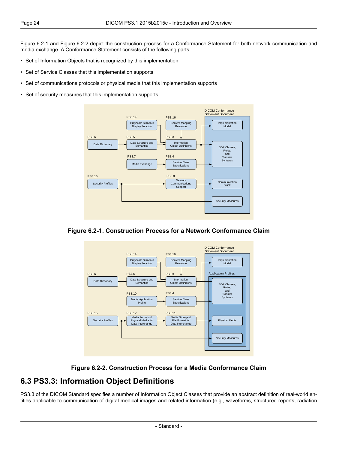[Figure](#page-23-1) 6.2-1 and [Figure](#page-23-2) 6.2-2 depict the construction process for a Conformance Statement for both network communication and media exchange. A Conformance Statement consists of the following parts:

- Set of Information Objects that is recognized by this implementation
- Set of Service Classes that this implementation supports
- Set of communications protocols or physical media that this implementation supports
- <span id="page-23-1"></span>• Set of security measures that this implementation supports.



<span id="page-23-2"></span>





#### <span id="page-23-0"></span>**6.3 PS3.3: Information Object Definitions**

[PS3.3](part03.pdf#PS3.3) of the DICOM Standard specifies a number of Information Object Classes that provide an abstract definition of real-world entities applicable to communication of digital medical images and related information (e.g., waveforms, structured reports, radiation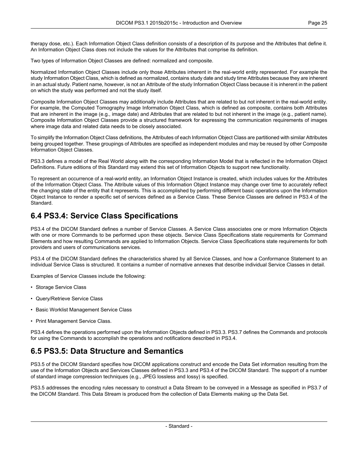therapy dose, etc.). Each Information Object Class definition consists of a description of its purpose and the Attributes that define it. An Information Object Class does not include the values for the Attributes that comprise its definition.

Two types of Information Object Classes are defined: normalized and composite.

Normalized Information Object Classes include only those Attributes inherent in the real-world entity represented. For example the study Information Object Class, which is defined as normalized, contains study date and study time Attributes because they are inherent in an actual study. Patient name, however, is not an Attribute of the study Information Object Class because it is inherent in the patient on which the study was performed and not the study itself.

Composite Information Object Classes may additionally include Attributes that are related to but not inherent in the real-world entity. For example, the Computed Tomography Image Information Object Class, which is defined as composite, contains both Attributes that are inherent in the image (e.g., image date) and Attributes that are related to but not inherent in the image (e.g., patient name). Composite Information Object Classes provide a structured framework for expressing the communication requirements of images where image data and related data needs to be closely associated.

To simplify the Information Object Class definitions, the Attributes of each Information Object Class are partitioned with similar Attributes being grouped together. These groupings of Attributes are specified as independent modules and may be reused by other Composite Information Object Classes.

[PS3.3](part03.pdf#PS3.3) defines a model of the Real World along with the corresponding Information Model that is reflected in the Information Object Definitions. Future editions of this Standard may extend this set of Information Objects to support new functionality.

<span id="page-24-0"></span>To represent an occurrence of a real-world entity, an Information Object Instance is created, which includes values for the Attributes of the Information Object Class. The Attribute values of this Information Object Instance may change over time to accurately reflect the changing state of the entity that it represents. This is accomplished by performing different basic operations upon the Information Object Instance to render a specific set of services defined as a Service Class. These Service Classes are defined in [PS3.4](part04.pdf#PS3.4) of the Standard.

#### **6.4 PS3.4: Service Class Specifications**

[PS3.4](part04.pdf#PS3.4) of the DICOM Standard defines a number of Service Classes. A Service Class associates one or more Information Objects with one or more Commands to be performed upon these objects. Service Class Specifications state requirements for Command Elements and how resulting Commands are applied to Information Objects. Service Class Specifications state requirements for both providers and users of communications services.

[PS3.4](part04.pdf#PS3.4) of the DICOM Standard defines the characteristics shared by all Service Classes, and how a Conformance Statement to an individual Service Class is structured. It contains a number of normative annexes that describe individual Service Classes in detail.

Examples of Service Classes include the following:

- Storage Service Class
- Query/Retrieve Service Class
- <span id="page-24-1"></span>• Basic Worklist Management Service Class
- Print Management Service Class.

[PS3.4](part04.pdf#PS3.4) defines the operations performed upon the Information Objects defined in [PS3.3.](part03.pdf#PS3.3) [PS3.7](part07.pdf#PS3.7) defines the Commands and protocols for using the Commands to accomplish the operations and notifications described in [PS3.4](part04.pdf#PS3.4).

#### **6.5 PS3.5: Data Structure and Semantics**

[PS3.5](part05.pdf#PS3.5) of the DICOM Standard specifies how DICOM applications construct and encode the Data Set information resulting from the use of the Information Objects and Services Classes defined in [PS3.3](part03.pdf#PS3.3) and [PS3.4](part04.pdf#PS3.4) of the DICOM Standard. The support of a number of standard image compression techniques (e.g., JPEG lossless and lossy) is specified.

[PS3.5](part05.pdf#PS3.5) addresses the encoding rules necessary to construct a Data Stream to be conveyed in a Message as specified in [PS3.7](part07.pdf#PS3.7) of the DICOM Standard. This Data Stream is produced from the collection of Data Elements making up the Data Set.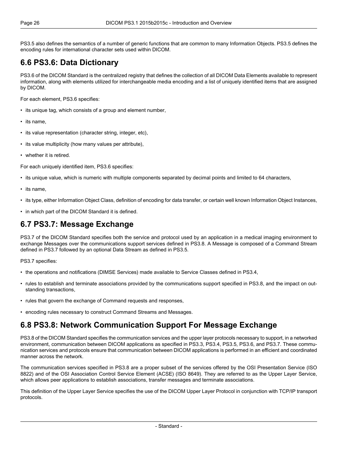<span id="page-25-0"></span>[PS3.5](part05.pdf#PS3.5) also defines the semantics of a number of generic functions that are common to many Information Objects. [PS3.5](part05.pdf#PS3.5) defines the encoding rules for international character sets used within DICOM.

#### **6.6 PS3.6: Data Dictionary**

[PS3.6](part06.pdf#PS3.6) of the DICOM Standard is the centralized registry that defines the collection of all DICOM Data Elements available to represent information, along with elements utilized for interchangeable media encoding and a list of uniquely identified items that are assigned by DICOM.

For each element, [PS3.6](part06.pdf#PS3.6) specifies:

- its unique tag, which consists of a group and element number,
- its name,
- its value representation (character string, integer, etc),
- its value multiplicity (how many values per attribute),
- whether it is retired.

For each uniquely identified item, [PS3.6](part06.pdf#PS3.6) specifies:

- its unique value, which is numeric with multiple components separated by decimal points and limited to 64 characters,
- its name,
- <span id="page-25-1"></span>• its type, either Information Object Class, definition of encoding for data transfer, or certain well known Information Object Instances,
- in which part of the DICOM Standard it is defined.

#### **6.7 PS3.7: Message Exchange**

[PS3.7](part07.pdf#PS3.7) of the DICOM Standard specifies both the service and protocol used by an application in a medical imaging environment to exchange Messages over the communications support services defined in [PS3.8.](part08.pdf#PS3.8) A Message is composed of a Command Stream defined in [PS3.7](part07.pdf#PS3.7) followed by an optional Data Stream as defined in [PS3.5](part05.pdf#PS3.5).

[PS3.7](part07.pdf#PS3.7) specifies:

- the operations and notifications (DIMSE Services) made available to Service Classes defined in [PS3.4,](part04.pdf#PS3.4)
- <span id="page-25-2"></span>• rules to establish and terminate associations provided by the communications support specified in [PS3.8,](part08.pdf#PS3.8) and the impact on outstanding transactions,
- rules that govern the exchange of Command requests and responses,
- encoding rules necessary to construct Command Streams and Messages.

#### **6.8 PS3.8: Network Communication Support For Message Exchange**

[PS3.8](part08.pdf#PS3.8) of the DICOM Standard specifies the communication services and the upper layer protocols necessary to support, in a networked environment, communication between DICOM applications as specified in [PS3.3](part03.pdf#PS3.3), [PS3.4,](part04.pdf#PS3.4) [PS3.5](part05.pdf#PS3.5), [PS3.6,](part06.pdf#PS3.6) and [PS3.7.](part07.pdf#PS3.7) These communication services and protocols ensure that communication between DICOM applications is performed in an efficient and coordinated manner across the network.

The communication services specified in [PS3.8](part08.pdf#PS3.8) are a proper subset of the services offered by the OSI Presentation Service (ISO 8822) and of the OSI Association Control Service Element (ACSE) (ISO 8649). They are referred to as the Upper Layer Service, which allows peer applications to establish associations, transfer messages and terminate associations.

This definition of the Upper Layer Service specifies the use of the DICOM Upper Layer Protocol in conjunction with TCP/IP transport protocols.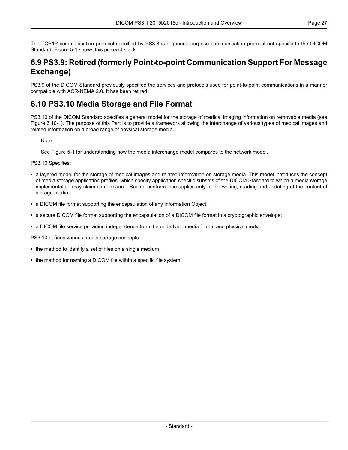<span id="page-26-0"></span>The TCP/IP communication protocol specified by [PS3.8](part08.pdf#PS3.8) is a general purpose communication protocol not specific to the DICOM Standard. [Figure](#page-21-0) 5-1 shows this protocol stack.

#### **6.9 PS3.9: Retired (formerly Point-to-point Communication Support For Message Exchange)**

<span id="page-26-1"></span>PS3.9 of the DICOM Standard previously specified the services and protocols used for point-to-point communications in a manner compatible with ACR-NEMA 2.0. It has been retired.

#### **6.10 PS3.10 Media Storage and File Format**

[PS3.10](part10.pdf#PS3.10) of the DICOM Standard specifies a general model for the storage of medical imaging information on removable media (see Figure [6.10-1\)](#page-27-1). The purpose of this Part is to provide a framework allowing the interchange of various types of medical images and related information on a broad range of physical storage media.

**Note** 

See [Figure](#page-21-0) 5-1 for understanding how the media interchange model compares to the network model.

[PS3.10](part10.pdf#PS3.10) Specifies:

- a layered model for the storage of medical images and related information on storage media. This model introduces the concept of media storage application profiles, which specify application specific subsets of the DICOM Standard to which a media storage implementation may claim conformance. Such a conformance applies only to the writing, reading and updating of the content of storage media.
- a DICOM file format supporting the encapsulation of any Information Object;
- a secure DICOM file format supporting the encapsulation of a DICOM file format in a cryptographic envelope;
- a DICOM file service providing independence from the underlying media format and physical media.

[PS3.10](part10.pdf#PS3.10) defines various media storage concepts:

- the method to identify a set of files on a single medium
- the method for naming a DICOM file within a specific file system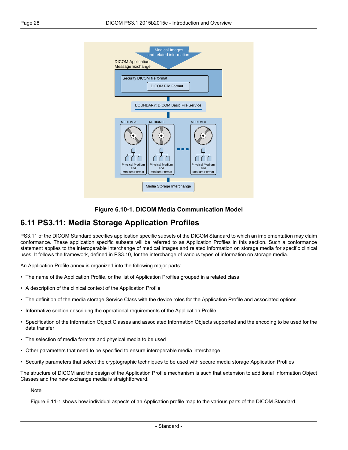<span id="page-27-1"></span>



#### <span id="page-27-0"></span>**6.11 PS3.11: Media Storage Application Profiles**

[PS3.11](part11.pdf#PS3.11) of the DICOM Standard specifies application specific subsets of the DICOM Standard to which an implementation may claim conformance. These application specific subsets will be referred to as Application Profiles in this section. Such a conformance statement applies to the interoperable interchange of medical images and related information on storage media for specific clinical uses. It follows the framework, defined in [PS3.10](part10.pdf#PS3.10), for the interchange of various types of information on storage media.

An Application Profile annex is organized into the following major parts:

- The name of the Application Profile, or the list of Application Profiles grouped in a related class
- A description of the clinical context of the Application Profile
- The definition of the media storage Service Class with the device roles for the Application Profile and associated options
- Informative section describing the operational requirements of the Application Profile
- Specification of the Information Object Classes and associated Information Objects supported and the encoding to be used for the data transfer
- The selection of media formats and physical media to be used
- Other parameters that need to be specified to ensure interoperable media interchange
- Security parameters that select the cryptographic techniques to be used with secure media storage Application Profiles

The structure of DICOM and the design of the Application Profile mechanism is such that extension to additional Information Object Classes and the new exchange media is straightforward.

**Note** 

[Figure](#page-28-4) 6.11-1 shows how individual aspects of an Application profile map to the various parts of the DICOM Standard.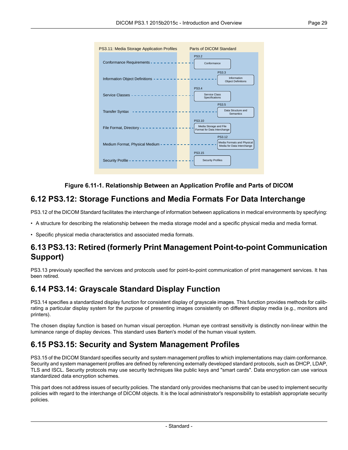<span id="page-28-4"></span>

#### **Figure 6.11-1. Relationship Between an Application Profile and Parts of DICOM**

#### <span id="page-28-0"></span>**6.12 PS3.12: Storage Functions and Media Formats For Data Interchange**

[PS3.12](part12.pdf#PS3.12) of the DICOM Standard facilitates the interchange of information between applications in medical environments by specifying:

<span id="page-28-1"></span>• A structure for describing the relationship between the media storage model and a specific physical media and media format.

• Specific physical media characteristics and associated media formats.

#### <span id="page-28-2"></span>**6.13 PS3.13: Retired (formerly Print Management Point-to-point Communication Support)**

PS3.13 previously specified the services and protocols used for point-to-point communication of print management services. It has been retired.

#### **6.14 PS3.14: Grayscale Standard Display Function**

<span id="page-28-3"></span>[PS3.14](part14.pdf#PS3.14) specifies a standardized display function for consistent display of grayscale images. This function provides methods for calibrating a particular display system for the purpose of presenting images consistently on different display media (e.g., monitors and printers).

The chosen display function is based on human visual perception. Human eye contrast sensitivity is distinctly non-linear within the luminance range of display devices. This standard uses Barten's model of the human visual system.

#### **6.15 PS3.15: Security and System Management Profiles**

[PS3.15](part15.pdf#PS3.15) of the DICOM Standard specifies security and system management profiles to which implementations may claim conformance. Security and system management profiles are defined by referencing externally developed standard protocols, such as DHCP, LDAP, TLS and ISCL. Security protocols may use security techniques like public keys and "smart cards". Data encryption can use various standardized data encryption schemes.

This part does not address issues of security policies. The standard only provides mechanisms that can be used to implement security policies with regard to the interchange of DICOM objects. It is the local administrator's responsibility to establish appropriate security policies.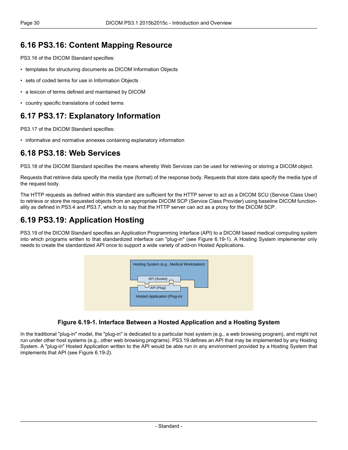#### <span id="page-29-0"></span>**6.16 PS3.16: Content Mapping Resource**

[PS3.16](part16.pdf#PS3.16) of the DICOM Standard specifies:

- templates for structuring documents as DICOM Information Objects
- sets of coded terms for use in Information Objects
- a lexicon of terms defined and maintained by DICOM
- <span id="page-29-1"></span>• country specific translations of coded terms

#### **6.17 PS3.17: Explanatory Information**

<span id="page-29-2"></span>[PS3.17](part17.pdf#PS3.17) of the DICOM Standard specifies:

• informative and normative annexes containing explanatory information

#### **6.18 PS3.18: Web Services**

[PS3.18](part18.pdf#PS3.18) of the DICOM Standard specifies the means whereby Web Services can be used for retrieving or storing a DICOM object.

Requests that retrieve data specify the media type (format) of the response body. Requests that store data specify the media type of the request body.

<span id="page-29-3"></span>The HTTP requests as defined within this standard are sufficient for the HTTP server to act as a DICOM SCU (Service Class User) to retrieve or store the requested objects from an appropriate DICOM SCP (Service Class Provider) using baseline DICOM functionality as defined in [PS3.4](part04.pdf#PS3.4) and [PS3.7,](part07.pdf#PS3.7) which is to say that the HTTP server can act as a proxy for the DICOM SCP.

#### **6.19 PS3.19: Application Hosting**

<span id="page-29-4"></span>[PS3.19](part19.pdf#PS3.19) of the DICOM Standard specifies an Application Programming Interface (API) to a DICOM based medical computing system into which programs written to that standardized interface can "plug-in" (see [Figure](#page-29-4) 6.19-1). A Hosting System implementer only needs to create the standardized API once to support a wide variety of add-on Hosted Applications.



#### **Figure 6.19-1. Interface Between a Hosted Application and a Hosting System**

In the traditional "plug-in" model, the "plug-in" is dedicated to a particular host system (e.g., a web browsing program), and might not run under other host systems (e.g., other web browsing programs). [PS3.19](part19.pdf#PS3.19) defines an API that may be implemented by any Hosting System. A "plug-in" Hosted Application written to the API would be able run in any environment provided by a Hosting System that implements that API (see [Figure](#page-30-1) 6.19-2).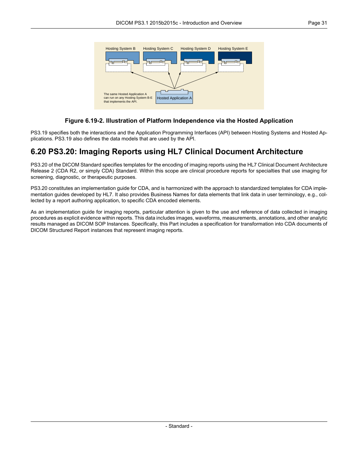<span id="page-30-1"></span>

#### **Figure 6.19-2. Illustration of Platform Independence via the Hosted Application**

<span id="page-30-0"></span>[PS3.19](part19.pdf#PS3.19) specifies both the interactions and the Application Programming Interfaces (API) between Hosting Systems and Hosted Applications. [PS3.19](part19.pdf#PS3.19) also defines the data models that are used by the API.

#### **6.20 PS3.20: Imaging Reports using HL7 Clinical Document Architecture**

[PS3.20](part20.pdf#PS3.20) of the DICOM Standard specifies templates for the encoding of imaging reports using the HL7 Clinical Document Architecture Release 2 (CDA R2, or simply CDA) Standard. Within this scope are clinical procedure reports for specialties that use imaging for screening, diagnostic, or therapeutic purposes.

[PS3.20](part20.pdf#PS3.20) constitutes an implementation guide for CDA, and is harmonized with the approach to standardized templates for CDA implementation guides developed by HL7. It also provides Business Names for data elements that link data in user terminology, e.g., collected by a report authoring application, to specific CDA encoded elements.

As an implementation guide for imaging reports, particular attention is given to the use and reference of data collected in imaging procedures as explicit evidence within reports. This data includes images, waveforms, measurements, annotations, and other analytic results managed as DICOM SOP Instances. Specifically, this Part includes a specification for transformation into CDA documents of DICOM Structured Report instances that represent imaging reports.